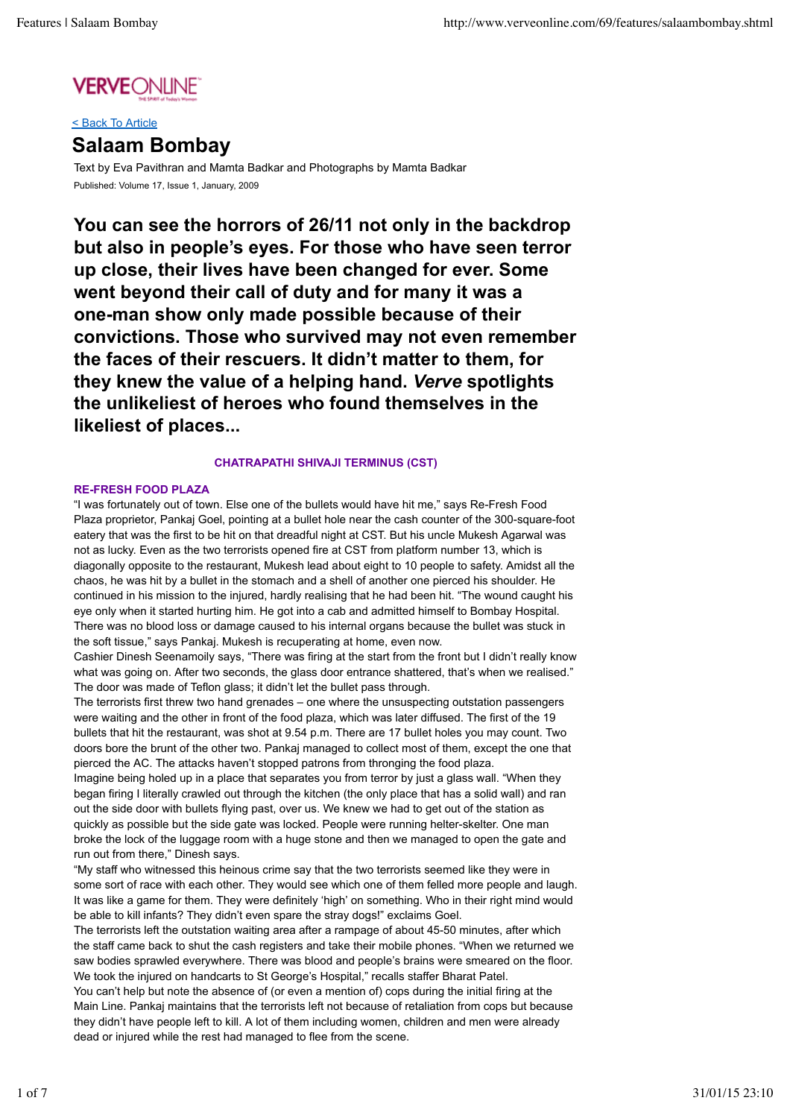# **VERVEONLINE**

< Back To Article

# **Salaam Bombay**

Text by Eva Pavithran and Mamta Badkar and Photographs by Mamta Badkar Published: Volume 17, Issue 1, January, 2009

**You can see the horrors of 26/11 not only in the backdrop but also in people's eyes. For those who have seen terror up close, their lives have been changed for ever. Some went beyond their call of duty and for many it was a one-man show only made possible because of their convictions. Those who survived may not even remember the faces of their rescuers. It didn't matter to them, for they knew the value of a helping hand.** *Verve* **spotlights the unlikeliest of heroes who found themselves in the likeliest of places...**

# **CHATRAPATHI SHIVAJI TERMINUS (CST)**

# **RE-FRESH FOOD PLAZA**

"I was fortunately out of town. Else one of the bullets would have hit me," says Re-Fresh Food Plaza proprietor, Pankaj Goel, pointing at a bullet hole near the cash counter of the 300-square-foot eatery that was the first to be hit on that dreadful night at CST. But his uncle Mukesh Agarwal was not as lucky. Even as the two terrorists opened fire at CST from platform number 13, which is diagonally opposite to the restaurant, Mukesh lead about eight to 10 people to safety. Amidst all the chaos, he was hit by a bullet in the stomach and a shell of another one pierced his shoulder. He continued in his mission to the injured, hardly realising that he had been hit. "The wound caught his eye only when it started hurting him. He got into a cab and admitted himself to Bombay Hospital. There was no blood loss or damage caused to his internal organs because the bullet was stuck in the soft tissue," says Pankaj. Mukesh is recuperating at home, even now.

Cashier Dinesh Seenamoily says, "There was firing at the start from the front but I didn't really know what was going on. After two seconds, the glass door entrance shattered, that's when we realised." The door was made of Teflon glass; it didn't let the bullet pass through.

The terrorists first threw two hand grenades – one where the unsuspecting outstation passengers were waiting and the other in front of the food plaza, which was later diffused. The first of the 19 bullets that hit the restaurant, was shot at 9.54 p.m. There are 17 bullet holes you may count. Two doors bore the brunt of the other two. Pankaj managed to collect most of them, except the one that pierced the AC. The attacks haven't stopped patrons from thronging the food plaza.

Imagine being holed up in a place that separates you from terror by just a glass wall. "When they began firing I literally crawled out through the kitchen (the only place that has a solid wall) and ran out the side door with bullets flying past, over us. We knew we had to get out of the station as quickly as possible but the side gate was locked. People were running helter-skelter. One man broke the lock of the luggage room with a huge stone and then we managed to open the gate and run out from there," Dinesh says.

"My staff who witnessed this heinous crime say that the two terrorists seemed like they were in some sort of race with each other. They would see which one of them felled more people and laugh. It was like a game for them. They were definitely 'high' on something. Who in their right mind would be able to kill infants? They didn't even spare the stray dogs!" exclaims Goel.

The terrorists left the outstation waiting area after a rampage of about 45-50 minutes, after which the staff came back to shut the cash registers and take their mobile phones. "When we returned we saw bodies sprawled everywhere. There was blood and people's brains were smeared on the floor. We took the injured on handcarts to St George's Hospital," recalls staffer Bharat Patel. You can't help but note the absence of (or even a mention of) cops during the initial firing at the Main Line. Pankaj maintains that the terrorists left not because of retaliation from cops but because they didn't have people left to kill. A lot of them including women, children and men were already dead or injured while the rest had managed to flee from the scene.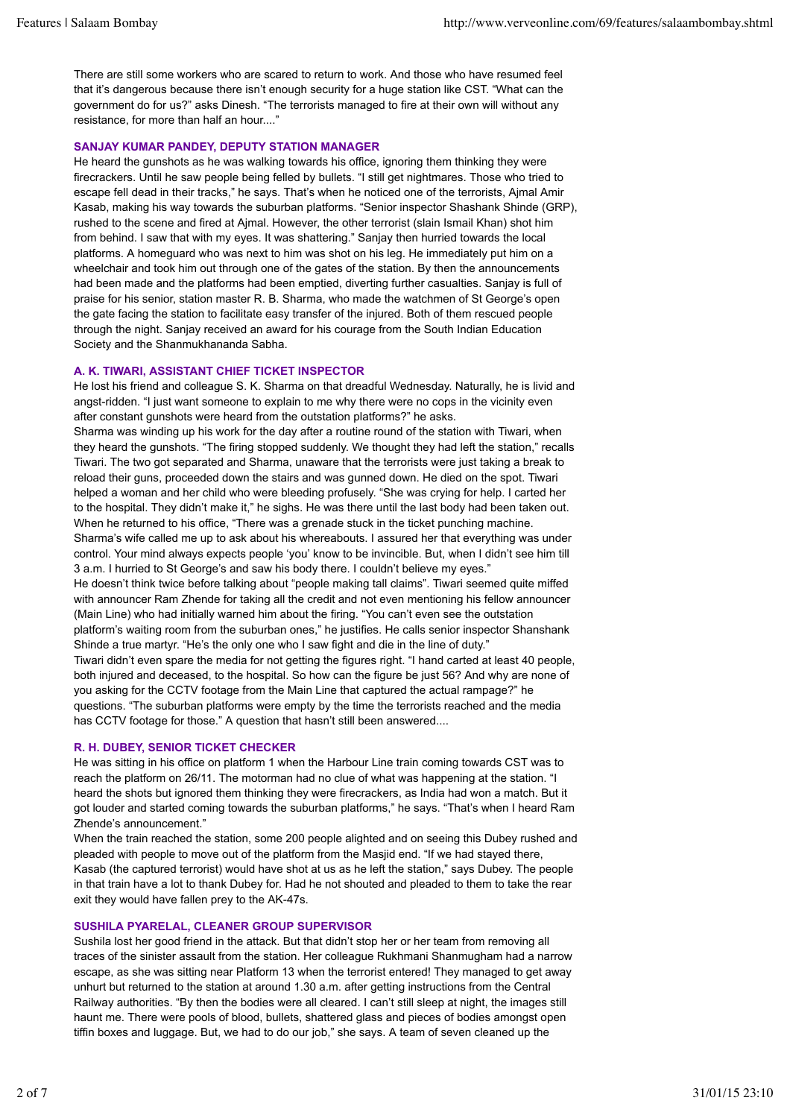There are still some workers who are scared to return to work. And those who have resumed feel that it's dangerous because there isn't enough security for a huge station like CST. "What can the government do for us?" asks Dinesh. "The terrorists managed to fire at their own will without any resistance, for more than half an hour...."

# **SANJAY KUMAR PANDEY, DEPUTY STATION MANAGER**

He heard the gunshots as he was walking towards his office, ignoring them thinking they were firecrackers. Until he saw people being felled by bullets. "I still get nightmares. Those who tried to escape fell dead in their tracks," he says. That's when he noticed one of the terrorists, Ajmal Amir Kasab, making his way towards the suburban platforms. "Senior inspector Shashank Shinde (GRP), rushed to the scene and fired at Ajmal. However, the other terrorist (slain Ismail Khan) shot him from behind. I saw that with my eyes. It was shattering." Sanjay then hurried towards the local platforms. A homeguard who was next to him was shot on his leg. He immediately put him on a wheelchair and took him out through one of the gates of the station. By then the announcements had been made and the platforms had been emptied, diverting further casualties. Sanjay is full of praise for his senior, station master R. B. Sharma, who made the watchmen of St George's open the gate facing the station to facilitate easy transfer of the injured. Both of them rescued people through the night. Sanjay received an award for his courage from the South Indian Education Society and the Shanmukhananda Sabha.

# **A. K. TIWARI, ASSISTANT CHIEF TICKET INSPECTOR**

He lost his friend and colleague S. K. Sharma on that dreadful Wednesday. Naturally, he is livid and angst-ridden. "I just want someone to explain to me why there were no cops in the vicinity even after constant gunshots were heard from the outstation platforms?" he asks. Sharma was winding up his work for the day after a routine round of the station with Tiwari, when they heard the gunshots. "The firing stopped suddenly. We thought they had left the station," recalls Tiwari. The two got separated and Sharma, unaware that the terrorists were just taking a break to reload their guns, proceeded down the stairs and was gunned down. He died on the spot. Tiwari helped a woman and her child who were bleeding profusely. "She was crying for help. I carted her to the hospital. They didn't make it," he sighs. He was there until the last body had been taken out. When he returned to his office, "There was a grenade stuck in the ticket punching machine. Sharma's wife called me up to ask about his whereabouts. I assured her that everything was under control. Your mind always expects people 'you' know to be invincible. But, when I didn't see him till 3 a.m. I hurried to St George's and saw his body there. I couldn't believe my eyes." He doesn't think twice before talking about "people making tall claims". Tiwari seemed quite miffed with announcer Ram Zhende for taking all the credit and not even mentioning his fellow announcer (Main Line) who had initially warned him about the firing. "You can't even see the outstation platform's waiting room from the suburban ones," he justifies. He calls senior inspector Shanshank Shinde a true martyr. "He's the only one who I saw fight and die in the line of duty." Tiwari didn't even spare the media for not getting the figures right. "I hand carted at least 40 people, both injured and deceased, to the hospital. So how can the figure be just 56? And why are none of you asking for the CCTV footage from the Main Line that captured the actual rampage?" he questions. "The suburban platforms were empty by the time the terrorists reached and the media has CCTV footage for those." A question that hasn't still been answered....

#### **R. H. DUBEY, SENIOR TICKET CHECKER**

He was sitting in his office on platform 1 when the Harbour Line train coming towards CST was to reach the platform on 26/11. The motorman had no clue of what was happening at the station. "I heard the shots but ignored them thinking they were firecrackers, as India had won a match. But it got louder and started coming towards the suburban platforms," he says. "That's when I heard Ram Zhende's announcement."

When the train reached the station, some 200 people alighted and on seeing this Dubey rushed and pleaded with people to move out of the platform from the Masjid end. "If we had stayed there, Kasab (the captured terrorist) would have shot at us as he left the station," says Dubey. The people in that train have a lot to thank Dubey for. Had he not shouted and pleaded to them to take the rear exit they would have fallen prey to the AK-47s.

#### **SUSHILA PYARELAL, CLEANER GROUP SUPERVISOR**

Sushila lost her good friend in the attack. But that didn't stop her or her team from removing all traces of the sinister assault from the station. Her colleague Rukhmani Shanmugham had a narrow escape, as she was sitting near Platform 13 when the terrorist entered! They managed to get away unhurt but returned to the station at around 1.30 a.m. after getting instructions from the Central Railway authorities. "By then the bodies were all cleared. I can't still sleep at night, the images still haunt me. There were pools of blood, bullets, shattered glass and pieces of bodies amongst open tiffin boxes and luggage. But, we had to do our job," she says. A team of seven cleaned up the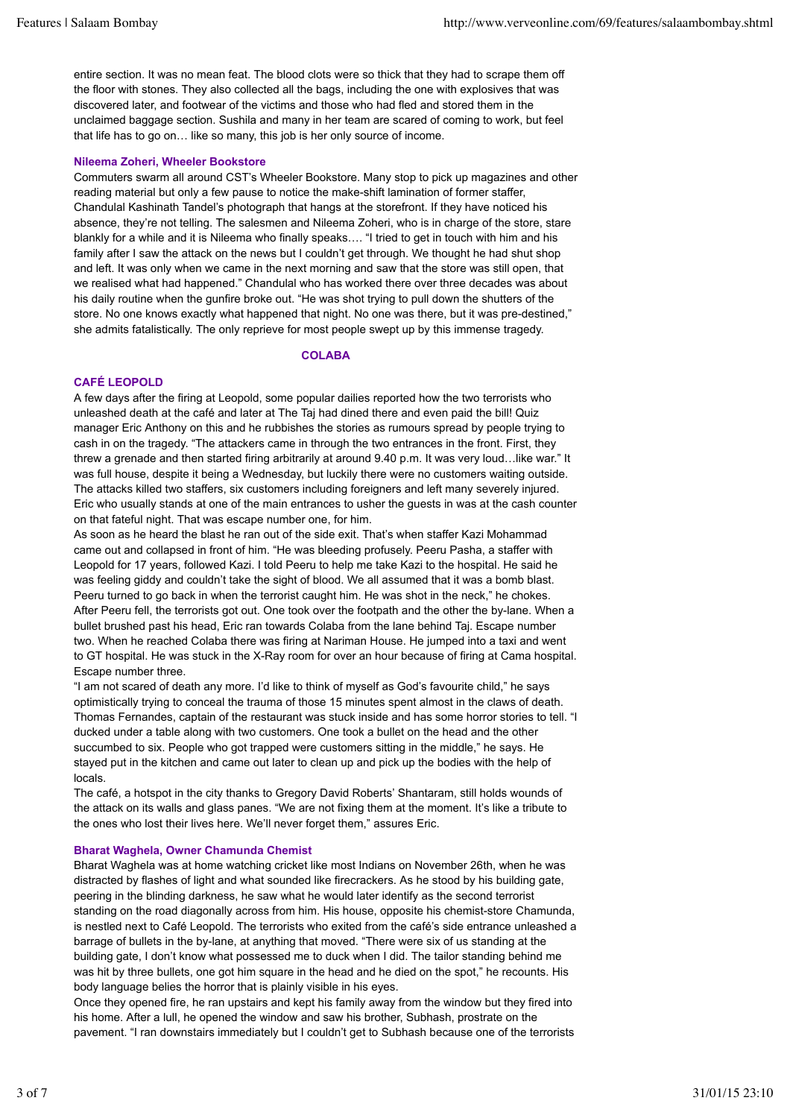entire section. It was no mean feat. The blood clots were so thick that they had to scrape them off the floor with stones. They also collected all the bags, including the one with explosives that was discovered later, and footwear of the victims and those who had fled and stored them in the unclaimed baggage section. Sushila and many in her team are scared of coming to work, but feel that life has to go on… like so many, this job is her only source of income.

#### **Nileema Zoheri, Wheeler Bookstore**

Commuters swarm all around CST's Wheeler Bookstore. Many stop to pick up magazines and other reading material but only a few pause to notice the make-shift lamination of former staffer, Chandulal Kashinath Tandel's photograph that hangs at the storefront. If they have noticed his absence, they're not telling. The salesmen and Nileema Zoheri, who is in charge of the store, stare blankly for a while and it is Nileema who finally speaks…. "I tried to get in touch with him and his family after I saw the attack on the news but I couldn't get through. We thought he had shut shop and left. It was only when we came in the next morning and saw that the store was still open, that we realised what had happened." Chandulal who has worked there over three decades was about his daily routine when the gunfire broke out. "He was shot trying to pull down the shutters of the store. No one knows exactly what happened that night. No one was there, but it was pre-destined," she admits fatalistically. The only reprieve for most people swept up by this immense tragedy.

#### **COLABA**

# **CAFÉ LEOPOLD**

A few days after the firing at Leopold, some popular dailies reported how the two terrorists who unleashed death at the café and later at The Taj had dined there and even paid the bill! Quiz manager Eric Anthony on this and he rubbishes the stories as rumours spread by people trying to cash in on the tragedy. "The attackers came in through the two entrances in the front. First, they threw a grenade and then started firing arbitrarily at around 9.40 p.m. It was very loud…like war." It was full house, despite it being a Wednesday, but luckily there were no customers waiting outside. The attacks killed two staffers, six customers including foreigners and left many severely injured. Eric who usually stands at one of the main entrances to usher the guests in was at the cash counter on that fateful night. That was escape number one, for him.

As soon as he heard the blast he ran out of the side exit. That's when staffer Kazi Mohammad came out and collapsed in front of him. "He was bleeding profusely. Peeru Pasha, a staffer with Leopold for 17 years, followed Kazi. I told Peeru to help me take Kazi to the hospital. He said he was feeling giddy and couldn't take the sight of blood. We all assumed that it was a bomb blast. Peeru turned to go back in when the terrorist caught him. He was shot in the neck," he chokes. After Peeru fell, the terrorists got out. One took over the footpath and the other the by-lane. When a bullet brushed past his head, Eric ran towards Colaba from the lane behind Taj. Escape number two. When he reached Colaba there was firing at Nariman House. He jumped into a taxi and went to GT hospital. He was stuck in the X-Ray room for over an hour because of firing at Cama hospital. Escape number three.

"I am not scared of death any more. I'd like to think of myself as God's favourite child," he says optimistically trying to conceal the trauma of those 15 minutes spent almost in the claws of death. Thomas Fernandes, captain of the restaurant was stuck inside and has some horror stories to tell. "I ducked under a table along with two customers. One took a bullet on the head and the other succumbed to six. People who got trapped were customers sitting in the middle," he says. He stayed put in the kitchen and came out later to clean up and pick up the bodies with the help of locals.

The café, a hotspot in the city thanks to Gregory David Roberts' Shantaram, still holds wounds of the attack on its walls and glass panes. "We are not fixing them at the moment. It's like a tribute to the ones who lost their lives here. We'll never forget them," assures Eric.

#### **Bharat Waghela, Owner Chamunda Chemist**

Bharat Waghela was at home watching cricket like most Indians on November 26th, when he was distracted by flashes of light and what sounded like firecrackers. As he stood by his building gate, peering in the blinding darkness, he saw what he would later identify as the second terrorist standing on the road diagonally across from him. His house, opposite his chemist-store Chamunda, is nestled next to Café Leopold. The terrorists who exited from the café's side entrance unleashed a barrage of bullets in the by-lane, at anything that moved. "There were six of us standing at the building gate, I don't know what possessed me to duck when I did. The tailor standing behind me was hit by three bullets, one got him square in the head and he died on the spot," he recounts. His body language belies the horror that is plainly visible in his eyes.

Once they opened fire, he ran upstairs and kept his family away from the window but they fired into his home. After a lull, he opened the window and saw his brother, Subhash, prostrate on the pavement. "I ran downstairs immediately but I couldn't get to Subhash because one of the terrorists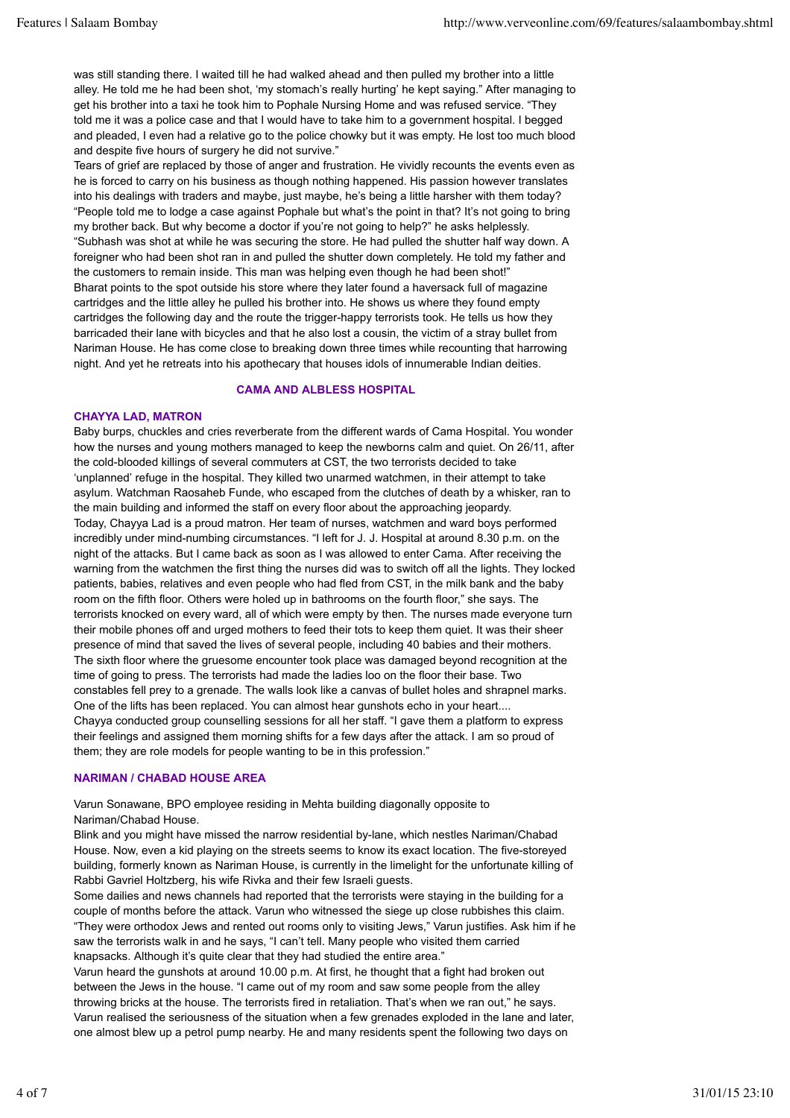was still standing there. I waited till he had walked ahead and then pulled my brother into a little alley. He told me he had been shot, 'my stomach's really hurting' he kept saying." After managing to get his brother into a taxi he took him to Pophale Nursing Home and was refused service. "They told me it was a police case and that I would have to take him to a government hospital. I begged and pleaded, I even had a relative go to the police chowky but it was empty. He lost too much blood and despite five hours of surgery he did not survive."

Tears of grief are replaced by those of anger and frustration. He vividly recounts the events even as he is forced to carry on his business as though nothing happened. His passion however translates into his dealings with traders and maybe, just maybe, he's being a little harsher with them today? "People told me to lodge a case against Pophale but what's the point in that? It's not going to bring my brother back. But why become a doctor if you're not going to help?" he asks helplessly. "Subhash was shot at while he was securing the store. He had pulled the shutter half way down. A foreigner who had been shot ran in and pulled the shutter down completely. He told my father and the customers to remain inside. This man was helping even though he had been shot!" Bharat points to the spot outside his store where they later found a haversack full of magazine cartridges and the little alley he pulled his brother into. He shows us where they found empty cartridges the following day and the route the trigger-happy terrorists took. He tells us how they barricaded their lane with bicycles and that he also lost a cousin, the victim of a stray bullet from Nariman House. He has come close to breaking down three times while recounting that harrowing night. And yet he retreats into his apothecary that houses idols of innumerable Indian deities.

#### **CAMA AND ALBLESS HOSPITAL**

#### **CHAYYA LAD, MATRON**

Baby burps, chuckles and cries reverberate from the different wards of Cama Hospital. You wonder how the nurses and young mothers managed to keep the newborns calm and quiet. On 26/11, after the cold-blooded killings of several commuters at CST, the two terrorists decided to take 'unplanned' refuge in the hospital. They killed two unarmed watchmen, in their attempt to take asylum. Watchman Raosaheb Funde, who escaped from the clutches of death by a whisker, ran to the main building and informed the staff on every floor about the approaching jeopardy. Today, Chayya Lad is a proud matron. Her team of nurses, watchmen and ward boys performed incredibly under mind-numbing circumstances. "I left for J. J. Hospital at around 8.30 p.m. on the night of the attacks. But I came back as soon as I was allowed to enter Cama. After receiving the warning from the watchmen the first thing the nurses did was to switch off all the lights. They locked patients, babies, relatives and even people who had fled from CST, in the milk bank and the baby room on the fifth floor. Others were holed up in bathrooms on the fourth floor," she says. The terrorists knocked on every ward, all of which were empty by then. The nurses made everyone turn their mobile phones off and urged mothers to feed their tots to keep them quiet. It was their sheer presence of mind that saved the lives of several people, including 40 babies and their mothers. The sixth floor where the gruesome encounter took place was damaged beyond recognition at the time of going to press. The terrorists had made the ladies loo on the floor their base. Two constables fell prey to a grenade. The walls look like a canvas of bullet holes and shrapnel marks. One of the lifts has been replaced. You can almost hear gunshots echo in your heart.... Chayya conducted group counselling sessions for all her staff. "I gave them a platform to express their feelings and assigned them morning shifts for a few days after the attack. I am so proud of them; they are role models for people wanting to be in this profession."

#### **NARIMAN / CHABAD HOUSE AREA**

Varun Sonawane, BPO employee residing in Mehta building diagonally opposite to Nariman/Chabad House.

Blink and you might have missed the narrow residential by-lane, which nestles Nariman/Chabad House. Now, even a kid playing on the streets seems to know its exact location. The five-storeyed building, formerly known as Nariman House, is currently in the limelight for the unfortunate killing of Rabbi Gavriel Holtzberg, his wife Rivka and their few Israeli guests.

Some dailies and news channels had reported that the terrorists were staying in the building for a couple of months before the attack. Varun who witnessed the siege up close rubbishes this claim. "They were orthodox Jews and rented out rooms only to visiting Jews," Varun justifies. Ask him if he saw the terrorists walk in and he says, "I can't tell. Many people who visited them carried knapsacks. Although it's quite clear that they had studied the entire area."

Varun heard the gunshots at around 10.00 p.m. At first, he thought that a fight had broken out between the Jews in the house. "I came out of my room and saw some people from the alley throwing bricks at the house. The terrorists fired in retaliation. That's when we ran out," he says. Varun realised the seriousness of the situation when a few grenades exploded in the lane and later, one almost blew up a petrol pump nearby. He and many residents spent the following two days on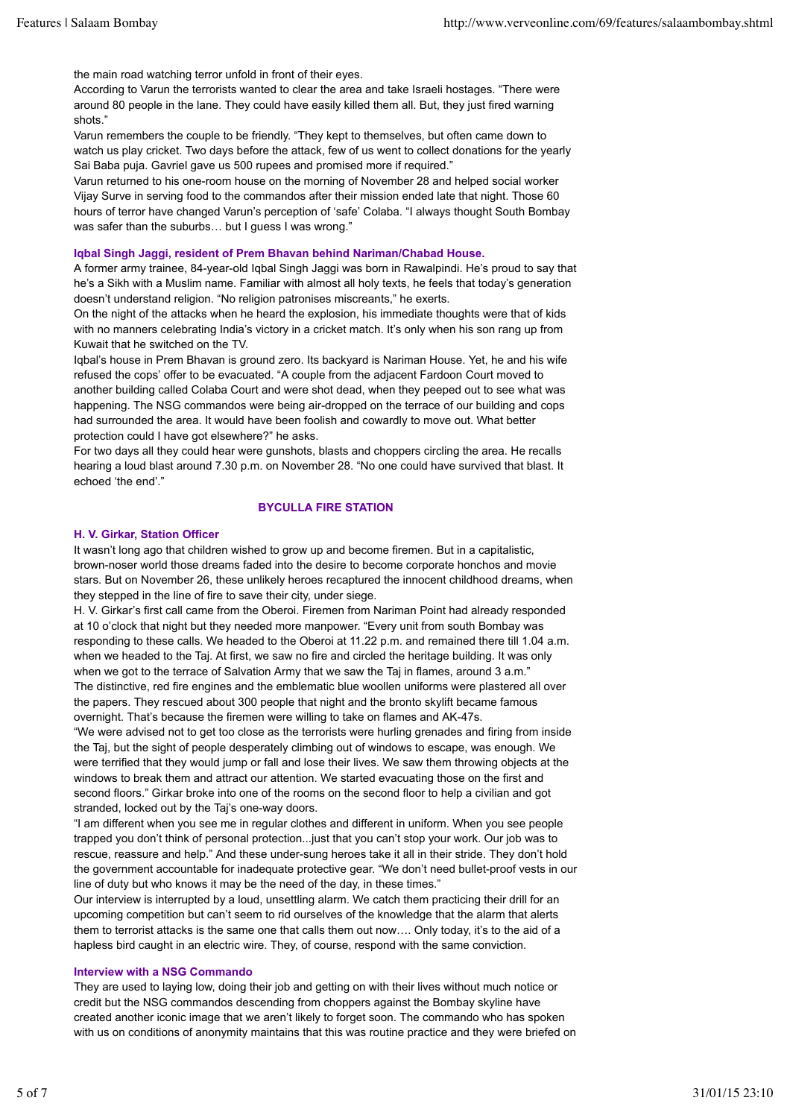the main road watching terror unfold in front of their eyes.

According to Varun the terrorists wanted to clear the area and take Israeli hostages. "There were around 80 people in the lane. They could have easily killed them all. But, they just fired warning shots."

Varun remembers the couple to be friendly. "They kept to themselves, but often came down to watch us play cricket. Two days before the attack, few of us went to collect donations for the yearly Sai Baba puja. Gavriel gave us 500 rupees and promised more if required."

Varun returned to his one-room house on the morning of November 28 and helped social worker Vijay Surve in serving food to the commandos after their mission ended late that night. Those 60 hours of terror have changed Varun's perception of 'safe' Colaba. "I always thought South Bombay was safer than the suburbs... but I guess I was wrong."

#### **Iqbal Singh Jaggi, resident of Prem Bhavan behind Nariman/Chabad House.**

A former army trainee, 84-year-old Iqbal Singh Jaggi was born in Rawalpindi. He's proud to say that he's a Sikh with a Muslim name. Familiar with almost all holy texts, he feels that today's generation doesn't understand religion. "No religion patronises miscreants," he exerts.

On the night of the attacks when he heard the explosion, his immediate thoughts were that of kids with no manners celebrating India's victory in a cricket match. It's only when his son rang up from Kuwait that he switched on the TV.

Iqbal's house in Prem Bhavan is ground zero. Its backyard is Nariman House. Yet, he and his wife refused the cops' offer to be evacuated. "A couple from the adjacent Fardoon Court moved to another building called Colaba Court and were shot dead, when they peeped out to see what was happening. The NSG commandos were being air-dropped on the terrace of our building and cops had surrounded the area. It would have been foolish and cowardly to move out. What better protection could I have got elsewhere?" he asks.

For two days all they could hear were gunshots, blasts and choppers circling the area. He recalls hearing a loud blast around 7.30 p.m. on November 28. "No one could have survived that blast. It echoed 'the end'."

# **BYCULLA FIRE STATION**

# **H. V. Girkar, Station Officer**

It wasn't long ago that children wished to grow up and become firemen. But in a capitalistic, brown-noser world those dreams faded into the desire to become corporate honchos and movie stars. But on November 26, these unlikely heroes recaptured the innocent childhood dreams, when they stepped in the line of fire to save their city, under siege.

H. V. Girkar's first call came from the Oberoi. Firemen from Nariman Point had already responded at 10 o'clock that night but they needed more manpower. "Every unit from south Bombay was responding to these calls. We headed to the Oberoi at 11.22 p.m. and remained there till 1.04 a.m. when we headed to the Taj. At first, we saw no fire and circled the heritage building. It was only when we got to the terrace of Salvation Army that we saw the Taj in flames, around 3 a.m." The distinctive, red fire engines and the emblematic blue woollen uniforms were plastered all over the papers. They rescued about 300 people that night and the bronto skylift became famous overnight. That's because the firemen were willing to take on flames and AK-47s.

"We were advised not to get too close as the terrorists were hurling grenades and firing from inside the Taj, but the sight of people desperately climbing out of windows to escape, was enough. We were terrified that they would jump or fall and lose their lives. We saw them throwing objects at the windows to break them and attract our attention. We started evacuating those on the first and second floors." Girkar broke into one of the rooms on the second floor to help a civilian and got stranded, locked out by the Taj's one-way doors.

"I am different when you see me in regular clothes and different in uniform. When you see people trapped you don't think of personal protection...just that you can't stop your work. Our job was to rescue, reassure and help." And these under-sung heroes take it all in their stride. They don't hold the government accountable for inadequate protective gear. "We don't need bullet-proof vests in our line of duty but who knows it may be the need of the day, in these times."

Our interview is interrupted by a loud, unsettling alarm. We catch them practicing their drill for an upcoming competition but can't seem to rid ourselves of the knowledge that the alarm that alerts them to terrorist attacks is the same one that calls them out now…. Only today, it's to the aid of a hapless bird caught in an electric wire. They, of course, respond with the same conviction.

#### **Interview with a NSG Commando**

They are used to laying low, doing their job and getting on with their lives without much notice or credit but the NSG commandos descending from choppers against the Bombay skyline have created another iconic image that we aren't likely to forget soon. The commando who has spoken with us on conditions of anonymity maintains that this was routine practice and they were briefed on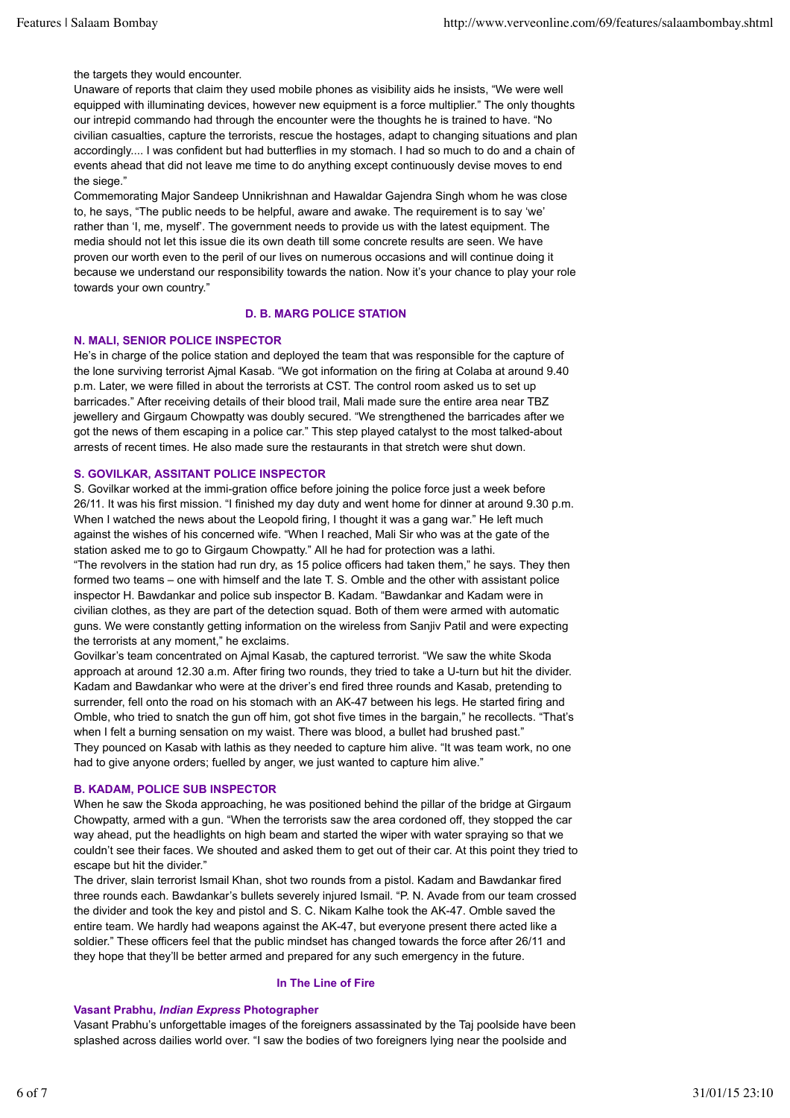the targets they would encounter.

Unaware of reports that claim they used mobile phones as visibility aids he insists, "We were well equipped with illuminating devices, however new equipment is a force multiplier." The only thoughts our intrepid commando had through the encounter were the thoughts he is trained to have. "No civilian casualties, capture the terrorists, rescue the hostages, adapt to changing situations and plan accordingly.... I was confident but had butterflies in my stomach. I had so much to do and a chain of events ahead that did not leave me time to do anything except continuously devise moves to end the siege."

Commemorating Major Sandeep Unnikrishnan and Hawaldar Gajendra Singh whom he was close to, he says, "The public needs to be helpful, aware and awake. The requirement is to say 'we' rather than 'I, me, myself'. The government needs to provide us with the latest equipment. The media should not let this issue die its own death till some concrete results are seen. We have proven our worth even to the peril of our lives on numerous occasions and will continue doing it because we understand our responsibility towards the nation. Now it's your chance to play your role towards your own country."

# **D. B. MARG POLICE STATION**

# **N. MALI, SENIOR POLICE INSPECTOR**

He's in charge of the police station and deployed the team that was responsible for the capture of the lone surviving terrorist Ajmal Kasab. "We got information on the firing at Colaba at around 9.40 p.m. Later, we were filled in about the terrorists at CST. The control room asked us to set up barricades." After receiving details of their blood trail, Mali made sure the entire area near TBZ jewellery and Girgaum Chowpatty was doubly secured. "We strengthened the barricades after we got the news of them escaping in a police car." This step played catalyst to the most talked-about arrests of recent times. He also made sure the restaurants in that stretch were shut down.

#### **S. GOVILKAR, ASSITANT POLICE INSPECTOR**

S. Govilkar worked at the immi-gration office before joining the police force just a week before 26/11. It was his first mission. "I finished my day duty and went home for dinner at around 9.30 p.m. When I watched the news about the Leopold firing, I thought it was a gang war." He left much against the wishes of his concerned wife. "When I reached, Mali Sir who was at the gate of the station asked me to go to Girgaum Chowpatty." All he had for protection was a lathi.

"The revolvers in the station had run dry, as 15 police officers had taken them," he says. They then formed two teams – one with himself and the late T. S. Omble and the other with assistant police inspector H. Bawdankar and police sub inspector B. Kadam. "Bawdankar and Kadam were in civilian clothes, as they are part of the detection squad. Both of them were armed with automatic guns. We were constantly getting information on the wireless from Sanjiv Patil and were expecting the terrorists at any moment," he exclaims.

Govilkar's team concentrated on Ajmal Kasab, the captured terrorist. "We saw the white Skoda approach at around 12.30 a.m. After firing two rounds, they tried to take a U-turn but hit the divider. Kadam and Bawdankar who were at the driver's end fired three rounds and Kasab, pretending to surrender, fell onto the road on his stomach with an AK-47 between his legs. He started firing and Omble, who tried to snatch the gun off him, got shot five times in the bargain," he recollects. "That's when I felt a burning sensation on my waist. There was blood, a bullet had brushed past." They pounced on Kasab with lathis as they needed to capture him alive. "It was team work, no one had to give anyone orders; fuelled by anger, we just wanted to capture him alive."

#### **B. KADAM, POLICE SUB INSPECTOR**

When he saw the Skoda approaching, he was positioned behind the pillar of the bridge at Girgaum Chowpatty, armed with a gun. "When the terrorists saw the area cordoned off, they stopped the car way ahead, put the headlights on high beam and started the wiper with water spraying so that we couldn't see their faces. We shouted and asked them to get out of their car. At this point they tried to escape but hit the divider."

The driver, slain terrorist Ismail Khan, shot two rounds from a pistol. Kadam and Bawdankar fired three rounds each. Bawdankar's bullets severely injured Ismail. "P. N. Avade from our team crossed the divider and took the key and pistol and S. C. Nikam Kalhe took the AK-47. Omble saved the entire team. We hardly had weapons against the AK-47, but everyone present there acted like a soldier." These officers feel that the public mindset has changed towards the force after 26/11 and they hope that they'll be better armed and prepared for any such emergency in the future.

#### **In The Line of Fire**

#### **Vasant Prabhu,** *Indian Express* **Photographer**

Vasant Prabhu's unforgettable images of the foreigners assassinated by the Taj poolside have been splashed across dailies world over. "I saw the bodies of two foreigners lying near the poolside and